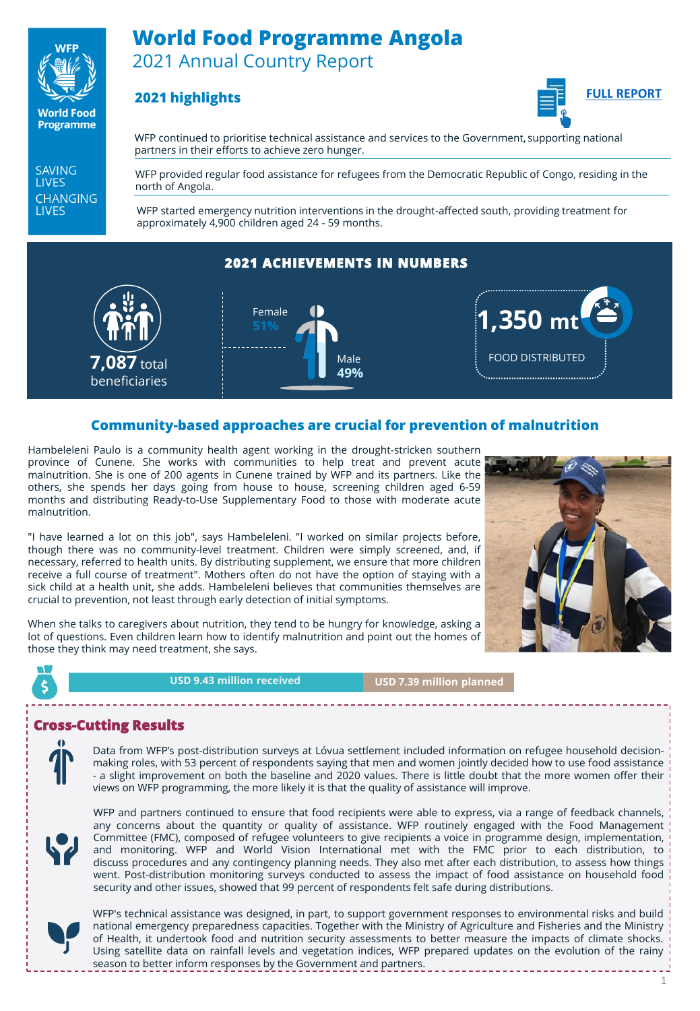

**World Food Programme** 

# **World Food Programme Angola** 2021 Annual Country Report

### **2021 highlights**



WFP continued to prioritise technical assistance and services to the Government, supporting national partners in their efforts to achieve zero hunger.

**SAVING LIVES CHANGING LIVES** 

WFP provided regular food assistance for refugees from the Democratic Republic of Congo, residing in the north of Angola.

WFP started emergency nutrition interventions in the drought-affected south, providing treatment for approximately 4,900 children aged 24 - 59 months.

### **2021 ACHIEVEMENTS IN NUMBERS**



#### **Community-based approaches are crucial for prevention of malnutrition**

Hambeleleni Paulo is a community health agent working in the drought-stricken southern province of Cunene. She works with communities to help treat and prevent acute malnutrition. She is one of 200 agents in Cunene trained by WFP and its partners. Like the others, she spends her days going from house to house, screening children aged 6-59 months and distributing Ready-to-Use Supplementary Food to those with moderate acute malnutrition.

"I have learned a lot on this job", says Hambeleleni. "I worked on similar projects before, though there was no community-level treatment. Children were simply screened, and, if necessary, referred to health units. By distributing supplement, we ensure that more children receive a full course of treatment". Mothers often do not have the option of staying with a sick child at a health unit, she adds. Hambeleleni believes that communities themselves are crucial to prevention, not least through early detection of initial symptoms.

When she talks to caregivers about nutrition, they tend to be hungry for knowledge, asking a lot of questions. Even children learn how to identify malnutrition and point out the homes of those they think may need treatment, she says.



**USD 9.43 million received**

**USD 7.39 million planned**

#### **Cross-Cutting Results**

Data from WFP's post-distribution surveys at Lóvua settlement included information on refugee household decisionmaking roles, with 53 percent of respondents saying that men and women jointly decided how to use food assistance - a slight improvement on both the baseline and 2020 values. There is little doubt that the more women offer their views on WFP programming, the more likely it is that the quality of assistance will improve.



WFP and partners continued to ensure that food recipients were able to express, via a range of feedback channels, any concerns about the quantity or quality of assistance. WFP routinely engaged with the Food Management Committee (FMC), composed of refugee volunteers to give recipients a voice in programme design, implementation, and monitoring. WFP and World Vision International met with the FMC prior to each distribution, to discuss procedures and any contingency planning needs. They also met after each distribution, to assess how things went. Post-distribution monitoring surveys conducted to assess the impact of food assistance on household food security and other issues, showed that 99 percent of respondents felt safe during distributions.



WFP's technical assistance was designed, in part, to support government responses to environmental risks and build national emergency preparedness capacities. Together with the Ministry of Agriculture and Fisheries and the Ministry of Health, it undertook food and nutrition security assessments to better measure the impacts of climate shocks. Using satellite data on rainfall levels and vegetation indices, WFP prepared updates on the evolution of the rainy season to better inform responses by the Government and partners.